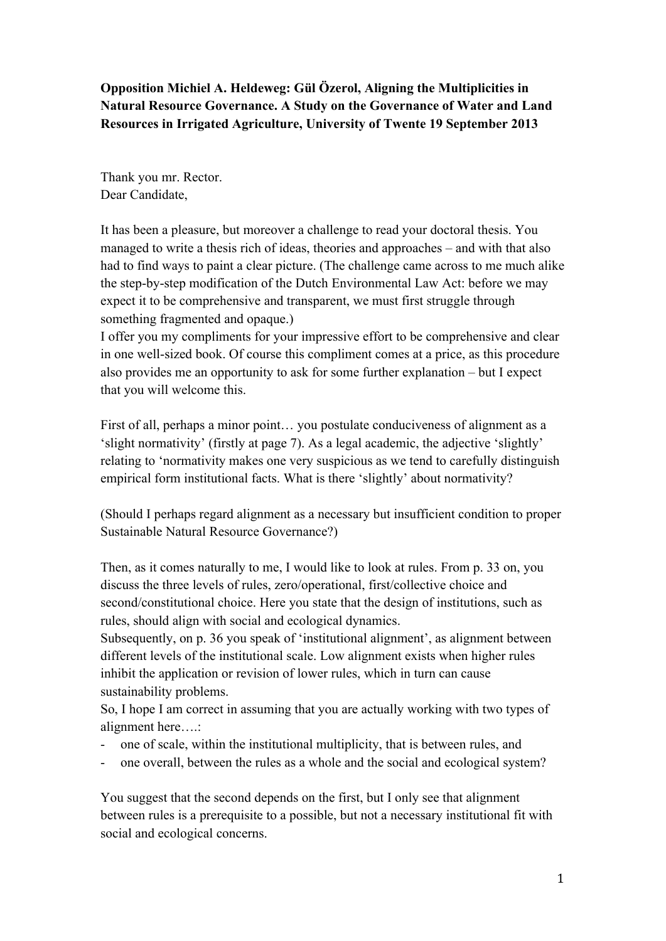**Opposition Michiel A. Heldeweg: Gül Özerol, Aligning the Multiplicities in Natural Resource Governance. A Study on the Governance of Water and Land Resources in Irrigated Agriculture, University of Twente 19 September 2013**

Thank you mr. Rector. Dear Candidate,

It has been a pleasure, but moreover a challenge to read your doctoral thesis. You managed to write a thesis rich of ideas, theories and approaches – and with that also had to find ways to paint a clear picture. (The challenge came across to me much alike the step-by-step modification of the Dutch Environmental Law Act: before we may expect it to be comprehensive and transparent, we must first struggle through something fragmented and opaque.)

I offer you my compliments for your impressive effort to be comprehensive and clear in one well-sized book. Of course this compliment comes at a price, as this procedure also provides me an opportunity to ask for some further explanation – but I expect that you will welcome this.

First of all, perhaps a minor point… you postulate conduciveness of alignment as a 'slight normativity' (firstly at page 7). As a legal academic, the adjective 'slightly' relating to 'normativity makes one very suspicious as we tend to carefully distinguish empirical form institutional facts. What is there 'slightly' about normativity?

(Should I perhaps regard alignment as a necessary but insufficient condition to proper Sustainable Natural Resource Governance?)

Then, as it comes naturally to me, I would like to look at rules. From p. 33 on, you discuss the three levels of rules, zero/operational, first/collective choice and second/constitutional choice. Here you state that the design of institutions, such as rules, should align with social and ecological dynamics.

Subsequently, on p. 36 you speak of 'institutional alignment', as alignment between different levels of the institutional scale. Low alignment exists when higher rules inhibit the application or revision of lower rules, which in turn can cause sustainability problems.

So, I hope I am correct in assuming that you are actually working with two types of alignment here….:

- one of scale, within the institutional multiplicity, that is between rules, and
- one overall, between the rules as a whole and the social and ecological system?

You suggest that the second depends on the first, but I only see that alignment between rules is a prerequisite to a possible, but not a necessary institutional fit with social and ecological concerns.